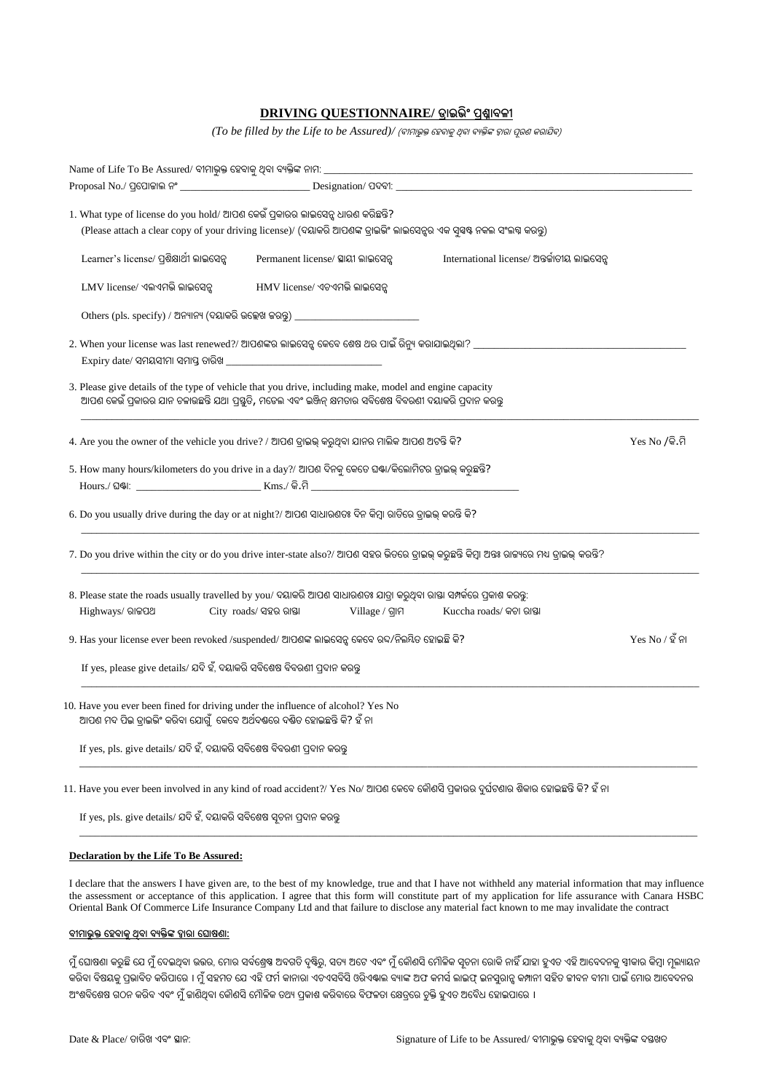## **DRIVING QUESTIONNAIRE/ ଡ୍ରାଇଭ ିଂ ପ୍ରଶ୍ନାବଳୀ**

*(To be filled by the Life to be Assured)/ (ବୀମାଭୁକ୍ତ ହେବାକୁ ଥିବା ବ୍ୟକ୍ତିଙ୍କ ଦ୍ୱାରା ପୂରଶ କରାଯିବ)* 

| Name of Life To Be Assured/ ବୀମାଭୁକ୍ତ ହେବାକୁ ଥିବା ବ୍ୟକ୍ତିଙ୍କ ନାମ: __                                                                                                                                                 |                                    |                 |                                                                                                                                             |  |  |  |
|----------------------------------------------------------------------------------------------------------------------------------------------------------------------------------------------------------------------|------------------------------------|-----------------|---------------------------------------------------------------------------------------------------------------------------------------------|--|--|--|
|                                                                                                                                                                                                                      |                                    |                 |                                                                                                                                             |  |  |  |
| 1. What type of license do you hold/ ଆପଶ କେଉଁ ପ୍ରକାରର ଲାଇସେନ୍ସ ଧାରଣ କରିଛନ୍ତି?                                                                                                                                        |                                    |                 |                                                                                                                                             |  |  |  |
| (Please attach a clear copy of your driving license)/ (ଦୟାକରି ଆପଶଙ୍କ ଡ୍ରାଇଡିଂ ଲାଇସେନ୍ସର ଏକ ସୁସ୍ୱଷ୍ଟ ନକଲ ସଂଲଗ୍ନ କରନ୍ତୁ)                                                                                               |                                    |                 |                                                                                                                                             |  |  |  |
| Learner's license/ ପ୍ରଶିକ୍ଷାର୍ଥୀ ଲାଇସେନ୍ସ                                                                                                                                                                            | Permanent license/ ସ୍ଥାୟୀ ଲାଇସେନ୍ସ |                 | International license/ ଅନ୍ତର୍ଜାତୀୟ ଲାଇସେନ୍ସ                                                                                                 |  |  |  |
| LMV license/ ଏଲଏମଭି ଲାଇସେନ୍ସ                                                                                                                                                                                         | HMV license/ ଏଚଏମଭି ଲାଇସେନ୍ସ       |                 |                                                                                                                                             |  |  |  |
| Others (pls. specify) / ଅନ୍ୟାନ୍ୟ (ଦୟାକରି ଉଲ୍ଲେଖ ଜରନ୍ତୁ) _________________________                                                                                                                                    |                                    |                 |                                                                                                                                             |  |  |  |
|                                                                                                                                                                                                                      |                                    |                 | 2. When your license was last renewed?/ ଆପଶଙ୍କର ଲାଇସେନ୍ସ କେବେ ଶେଷ ଥର ପାଇଁ ରିନ୍ୟୁ କରାଯାଇଥିଲା? _________________                              |  |  |  |
| $\overline{\text{Expiry date}}$ / ସମୟସୀମା ସମାପ୍ତ ତାରିଖ                                                                                                                                                               |                                    |                 |                                                                                                                                             |  |  |  |
| 3. Please give details of the type of vehicle that you drive, including make, model and engine capacity<br>ଆପଶ କେଉଁ ପ୍ରକାରର ଯାନ ଚଳାଉଛନ୍ତି ଯଥା ପ୍ରସ୍ତୁତି, ମଡେଲ ଏବଂ ଇଞ୍ଜିନ୍ କ୍ଷମତାର ସବିଶେଷ ବିବରଶୀ ଦୟାକରି ପ୍ରଦାନ କରନ୍ତୁ |                                    |                 |                                                                                                                                             |  |  |  |
| 4. Are you the owner of the vehicle you drive? / ଆପଶ ଡ୍ରାଇଭ୍ କରୁଥିବା ଯାନର ମାଲିକ ଆପଶ ଅଟନ୍ତି କି?<br>$Yes No /$ କି.ମି                                                                                                   |                                    |                 |                                                                                                                                             |  |  |  |
| 5. How many hours/kilometers do you drive in a day?/ ଆପଣ ଦିନକୁ କେତେ ଘଷ୍ଟା/କିଲୋମିଟର ଡ୍ରାଇଭ୍ କରୁଛନ୍ତି?                                                                                                                 |                                    |                 |                                                                                                                                             |  |  |  |
| 6. Do you usually drive during the day or at night?/ ଆପଶ ସାଧାରଣତଃ ଦିନ କିମ୍ବା ରାତିରେ ଡ୍ରାଇଭ୍ କରନ୍ତି କି?                                                                                                               |                                    |                 |                                                                                                                                             |  |  |  |
|                                                                                                                                                                                                                      |                                    |                 | 7. Do you drive within the city or do you drive inter-state also?/ ଆପଶ ସହର ଭିତରେ ଡ୍ରାଇଭ୍ କରୁଛନ୍ତି କିମ୍ବା ଅନ୍ତଃ ରାଜ୍ୟରେ ମଧ୍ୟ ଡ୍ରାଇଭ୍ କରନ୍ତି? |  |  |  |
| 8. Please state the roads usually travelled by you/ ଦୟାକରି ଆପଶ ସାଧାରଣତଃ ଯାତ୍ରା କରୁଥିବା ରାଷ୍ତା ସମ୍ପର୍କରେ ପ୍ରକାଶ କରକ୍ତ:                                                                                                |                                    |                 |                                                                                                                                             |  |  |  |
| Highways/ ରାଜପଥ                                                                                                                                                                                                      | City roads/ ସହର ରାଷ୍ଟା             | Village / ଗ୍ରାମ | Kuccha roads/ କଚା ରାସ୍ତା                                                                                                                    |  |  |  |
| 9. Has your license ever been revoked /suspended/ ଆପଶଙ୍କ ଲାଇସେନ୍ସ କେବେ ରଦ/ନିଲୟିତ ହୋଇଛି କି?<br>$Yes No / 8$ ନା                                                                                                        |                                    |                 |                                                                                                                                             |  |  |  |
| If yes, please give details/ ଯଦି ହଁ, ଦୟାକରି ସବିଶେଷ ବିବରଣୀ ପ୍ରଦାନ କରନ୍ତୁ                                                                                                                                              |                                    |                 |                                                                                                                                             |  |  |  |
| 10. Have you ever been fined for driving under the influence of alcohol? Yes No<br>ଆପଶ ମଦ ପିଇ ଡ୍ରାଇଭିଂ କରିବା ଯୋଗୁଁ  କେବେ ଅର୍ଥଦଷ୍ଟରେ ଦଷ୍ଟିତ ହୋଇଛନ୍ତି କି? ହଁ ନା                                                        |                                    |                 |                                                                                                                                             |  |  |  |
| If yes, pls. give details/ ଯଦି ହଁ, ଦୟାକରି ସବିଶେଷ ବିବରଣୀ ପ୍ରଦାନ କରନ୍ତ                                                                                                                                                 |                                    |                 |                                                                                                                                             |  |  |  |
|                                                                                                                                                                                                                      |                                    |                 |                                                                                                                                             |  |  |  |

11. Have you ever been involved in any kind of road accident?/ Yes No/ ଆପଣ ହକହବ ହକୌଣେିପ୍ରକାରର ଦୁଘଥଟଣାର ଶକିାର ହୋଇଛନ୍ତିକ?ି େଁନା

If yes, pls. give details/ ଯଦି ହଁ, ଦୟାକରି ସବିଶେଷ ସ୍ୱଚନା ପ୍ରଦାନ କରନ୍ତୁ

## **Declaration by the Life To Be Assured:**

I declare that the answers I have given are, to the best of my knowledge, true and that I have not withheld any material information that may influence the assessment or acceptance of this application. I agree that this form will constitute part of my application for life assurance with Canara HSBC Oriental Bank Of Commerce Life Insurance Company Ltd and that failure to disclose any material fact known to me may invalidate the contract

\_\_\_\_\_\_\_\_\_\_\_\_\_\_\_\_\_\_\_\_\_\_\_\_\_\_\_\_\_\_\_\_\_\_\_\_\_\_\_\_\_\_\_\_\_\_\_\_\_\_\_\_\_\_\_\_\_\_\_\_\_\_\_\_\_\_\_\_\_\_\_\_\_\_\_\_\_\_\_\_\_\_\_\_\_\_\_\_\_\_\_\_\_\_\_\_\_\_\_\_\_\_\_\_\_\_\_\_\_\_\_\_\_\_\_\_\_\_\_

## **ବୀମାଭୁକ୍ତ ହେବାକୁଥିବା ବୟକ୍ତ ଙ୍କ ଦ୍ୱାରା ହ ାଷଣା:**

ମୁଁ ଘୋଷଣା କରୁଛି ଯେ ମୁଁ ଦେଇଥିବା ଉତ୍ତର, ମୋର ସର୍ବଶ୍ରେଷ ଅବଗତି ଦୃଷ୍ଟିରୁ, ସତ୍ୟ ଅଟେ ଏବଂ ମୁଁ କୌଣସି ମୌଳିକ ସୂଚନା ରୋକି ନାହିଁ ଯାହା ହୁଏତ ଏହି ଆବେଦନକୁ ସ୍ୱୀକାର କିମ୍ବା ମୂଲ୍ୟାୟନ କରିବା ବିଷୟକୁ ପ୍ରଭାବିତ କରିପାରେ । ମୁଁ ସହମତ ଯେ ଏହି ଫର୍ମ କାନାରା ଏଚଏସବିସି ଓରିଏଣ୍ଟଲ ବ୍ୟାଙ୍କ ଅଫ କମର୍ସ ଲନସୁରାନ୍ସ କମ୍ପାନୀ ସହିତ ଜୀବନ ବୀମା ପାଇଁ ମୋର ଆବେଦନର ଅଂଶବିଶେଷ ଗଠନ କରିବ ଏବଂ ମୁଁ ଜାଣିଥିବା କୌଣସି ମୌଳିକ ତଥ୍ୟ ପ୍ରକାଶ କରିବାରେ ବିଫଳତା କ୍ଷେତ୍ରରେ ଚୁକ୍ତି ହୁଏତ ଅବୈଧ ହୋଇପାରେ ।